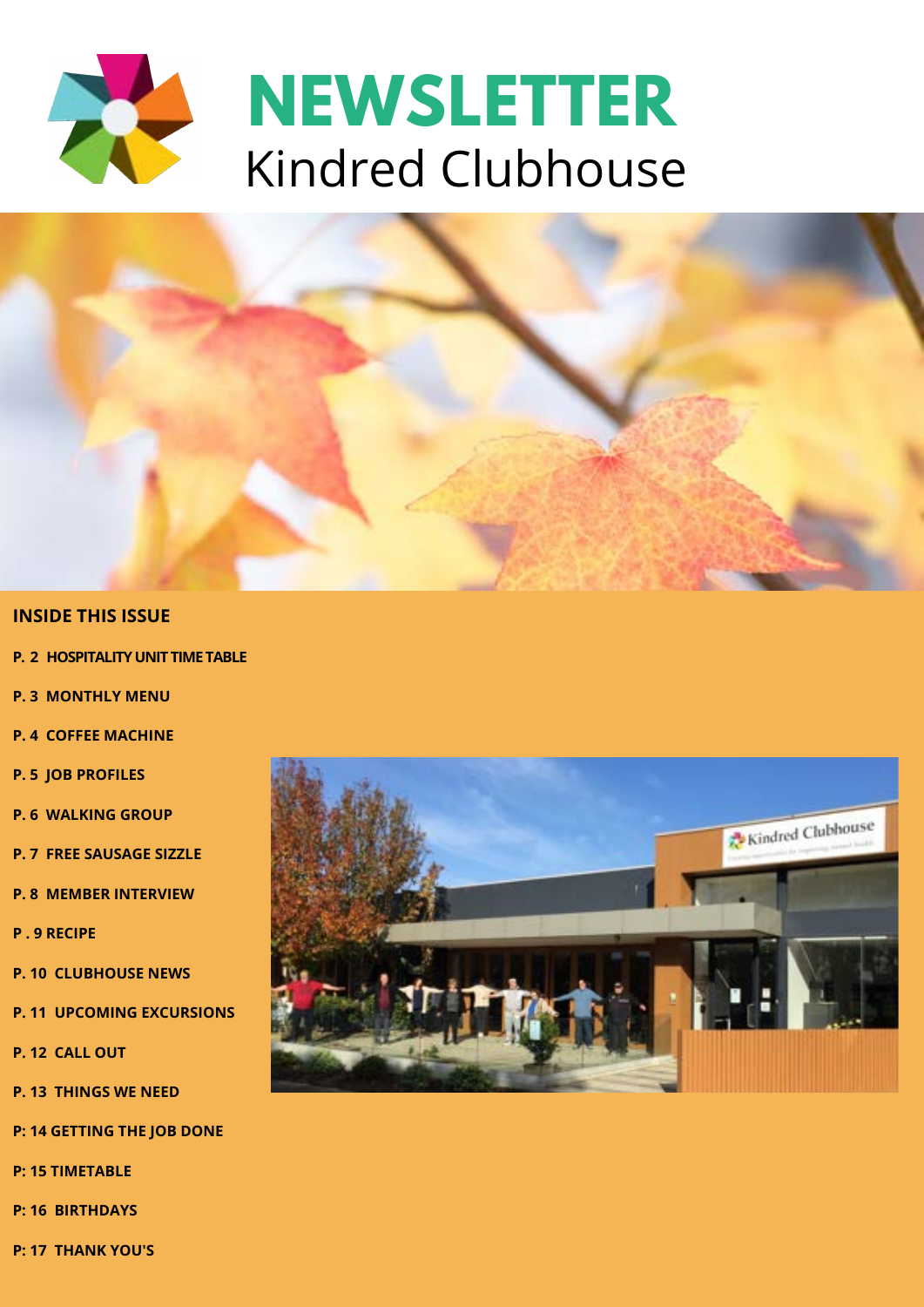



#### **INSIDE THIS ISSUE**

- **P. 2 HOSPITALITY UNIT TIME TABLE**
- **P. 3 MONTHLY MENU**
- **P. 4 COFFEE MACHINE**
- **P. 5 JOB PROFILES**
- **P. 6 WALKING GROUP**
- **P. 7 FREE SAUSAGE SIZZLE**
- **P. 8 MEMBER INTERVIEW**
- **P . 9 RECIPE**
- **P. 10 CLUBHOUSE NEWS**
- **P. 11 UPCOMING EXCURSIONS**
- **P. 12 CALL OUT**
- **P. 13 THINGS WE NEED**
- **P: 14 GETTING THE JOB DONE**
- **P: 15 TIMETABLE**
- **P: 16 BIRTHDAYS**
- **P: 17 THANK YOU'S**

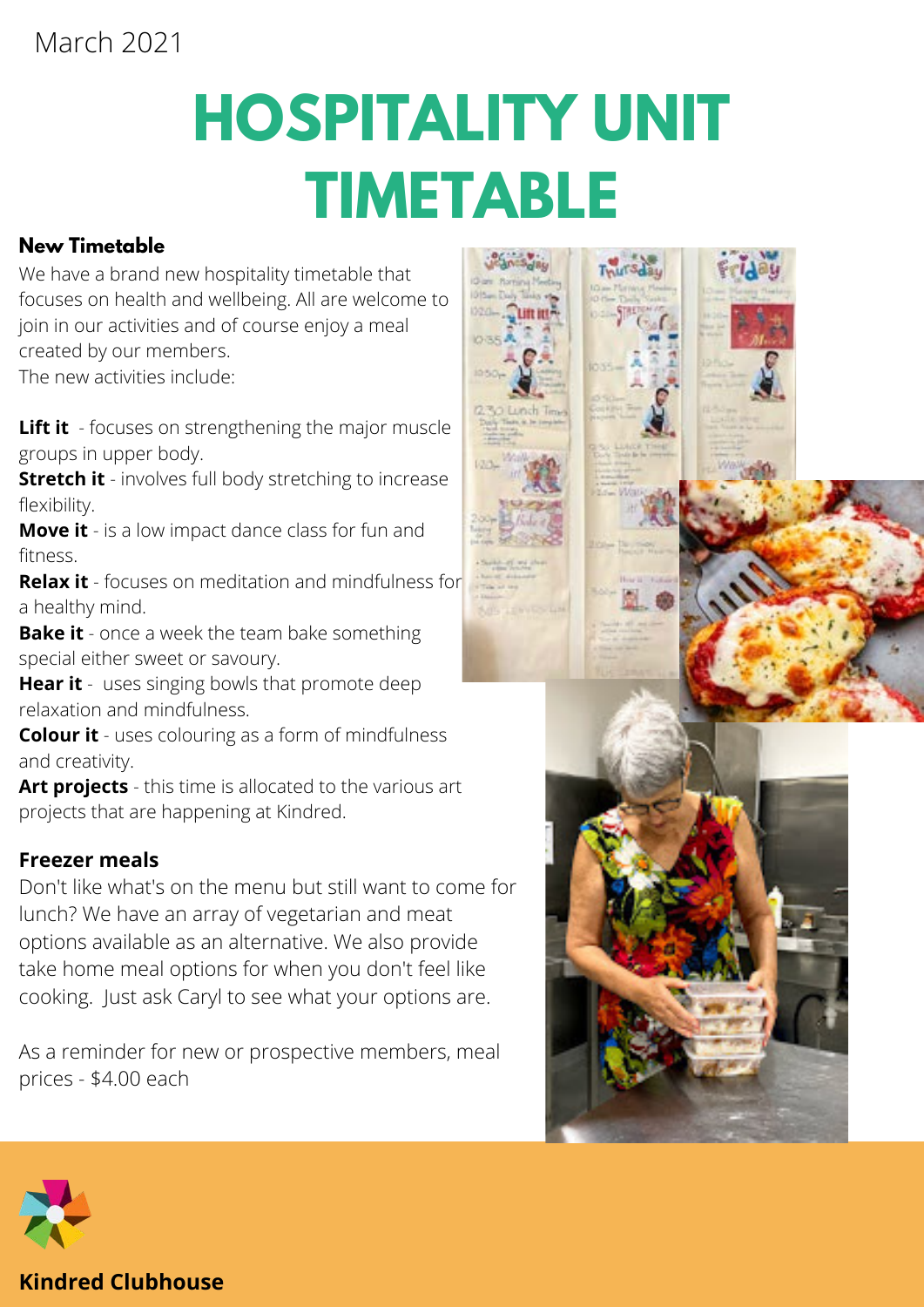# **HOSPITALITY UNIT TIMETABLE**

#### **New Timetable**

We have a brand new hospitality timetable that focuses on health and wellbeing. All are welcome to join in our activities and of course enjoy a meal created by our members. The new activities include:

**Lift it** - focuses on strengthening the major muscle groups in upper body.

**Stretch it** - involves full body stretching to increase flexibility.

**Move it** - is a low impact dance class for fun and fitness.

**Relax it** - focuses on meditation and mindfulness for a healthy mind.

**Bake it** - once a week the team bake something special either sweet or savoury.

**Hear it** - uses singing bowls that promote deep relaxation and mindfulness.

**Colour it** - uses colouring as a form of mindfulness and creativity.

**Art projects** - this time is allocated to the various art projects that are happening at Kindred.

#### **Freezer meals**

Don't like what's on the menu but still want to come for lunch? We have an array of vegetarian and meat options available as an alternative. We also provide take home meal options for when you don't feel like cooking. Just ask Caryl to see what your options are.

As a reminder for new or prospective members, meal prices - \$4.00 each







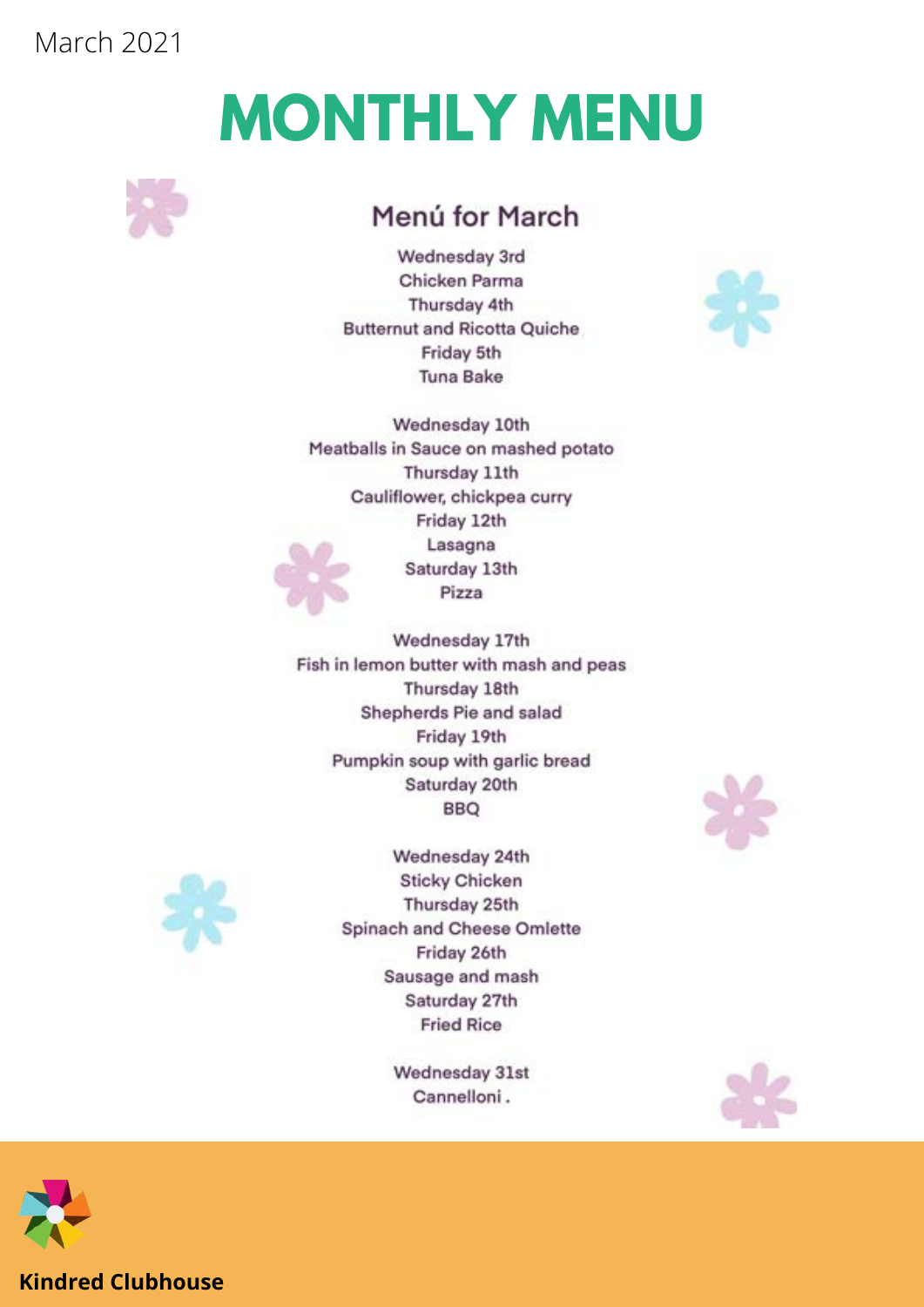# **MONTHLY MENU**



### Menú for March

Wednesday 3rd Chicken Parma Thursday 4th **Butternut and Ricotta Quiche** Friday 5th **Tuna Bake** 



Wednesday 10th Meatballs in Sauce on mashed potato Thursday 11th Cauliflower, chickpea curry Friday 12th Lasagna Saturday 13th Pizza

Wednesday 17th Fish in lemon butter with mash and peas Thursday 18th Shepherds Pie and salad Friday 19th Pumpkin soup with garlic bread Saturday 20th **BBQ** 



Wednesday 24th **Sticky Chicken** Thursday 25th Spinach and Cheese Omlette Friday 26th Sausage and mash Saturday 27th **Fried Rice** 

> Wednesday 31st Cannelloni.





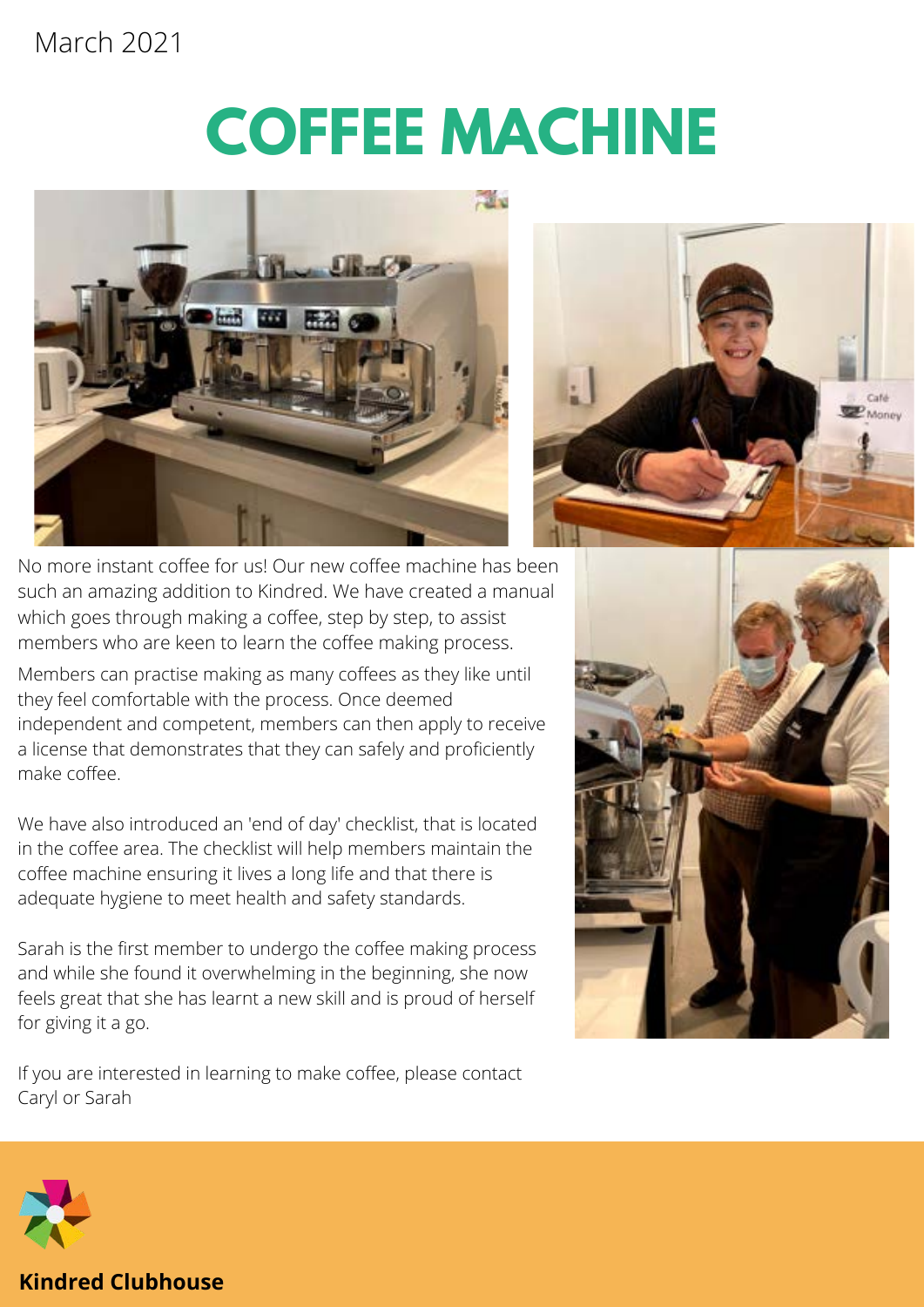# **COFFEE MACHINE**





No more instant coffee for us! Our new coffee machine has been such an amazing addition to Kindred. We have created a manual which goes through making a coffee, step by step, to assist members who are keen to learn the coffee making process.

Members can practise making as many coffees as they like until they feel comfortable with the process. Once deemed independent and competent, members can then apply to receive a license that demonstrates that they can safely and proficiently make coffee.

We have also introduced an 'end of day' checklist, that is located in the coffee area. The checklist will help members maintain the coffee machine ensuring it lives a long life and that there is adequate hygiene to meet health and safety standards.

Sarah is the first member to undergo the coffee making process and while she found it overwhelming in the beginning, she now feels great that she has learnt a new skill and is proud of herself for giving it a go.





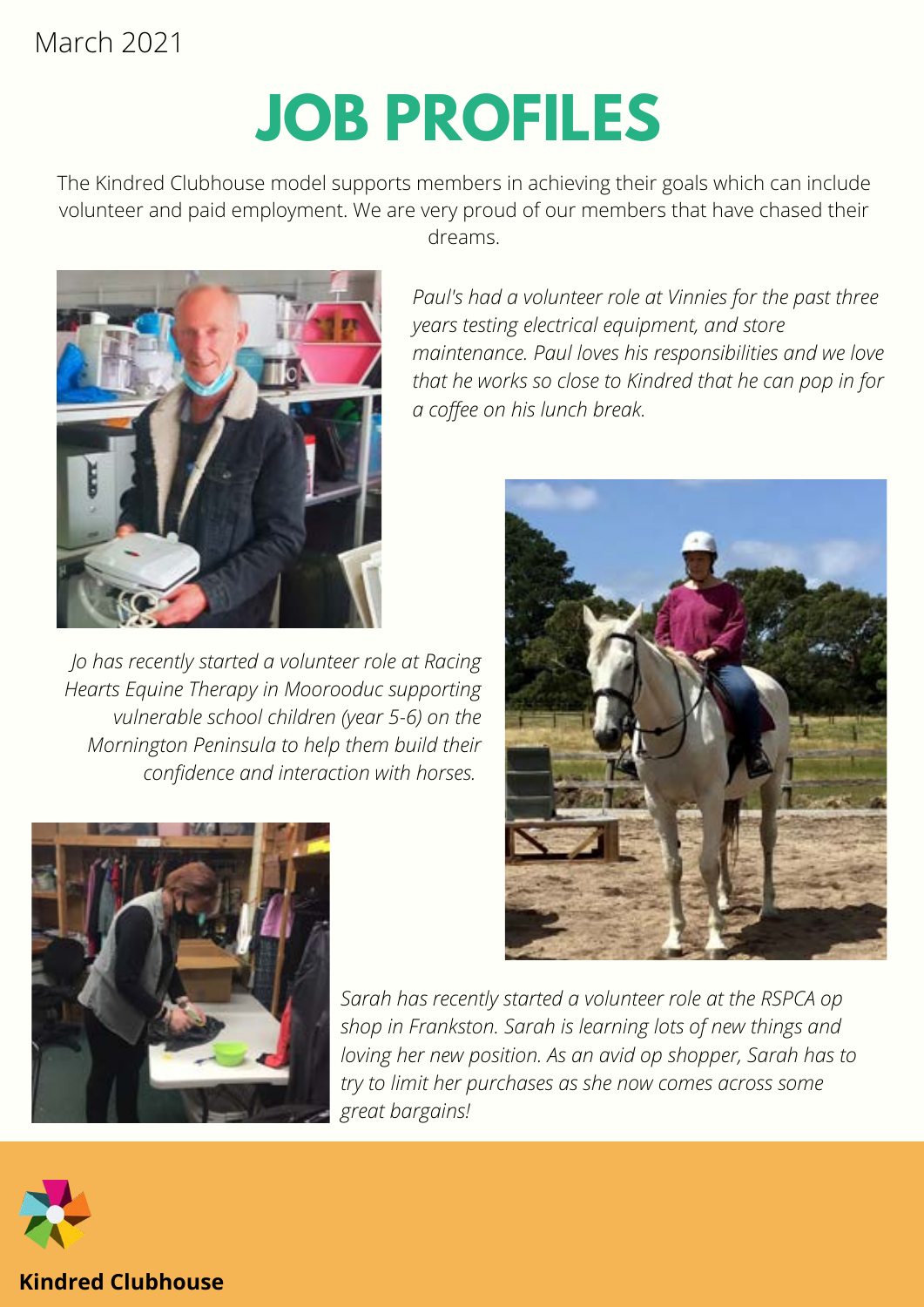# **JOB PROFILES**

The Kindred Clubhouse model supports members in achieving their goals which can include volunteer and paid employment. We are very proud of our members that have chased their dreams.



*Jo has recently started a volunteer role at Racing Hearts Equine Therapy in Moorooduc supporting vulnerable school children (year 5-6) on the Mornington Peninsula to help them build their confidence and interaction with horses.*

*Paul's had a volunteer role at Vinnies for the past three years testing electrical equipment, and store maintenance. Paul loves his responsibilities and we love that he works so close to Kindred that he can pop in for a coffee on his lunch break.*





*Sarah has recently started a volunteer role at the RSPCA op shop in Frankston. Sarah is learning lots of new things and loving her new position. As an avid op shopper, Sarah has to try to limit her purchases as she now comes across some great bargains!*

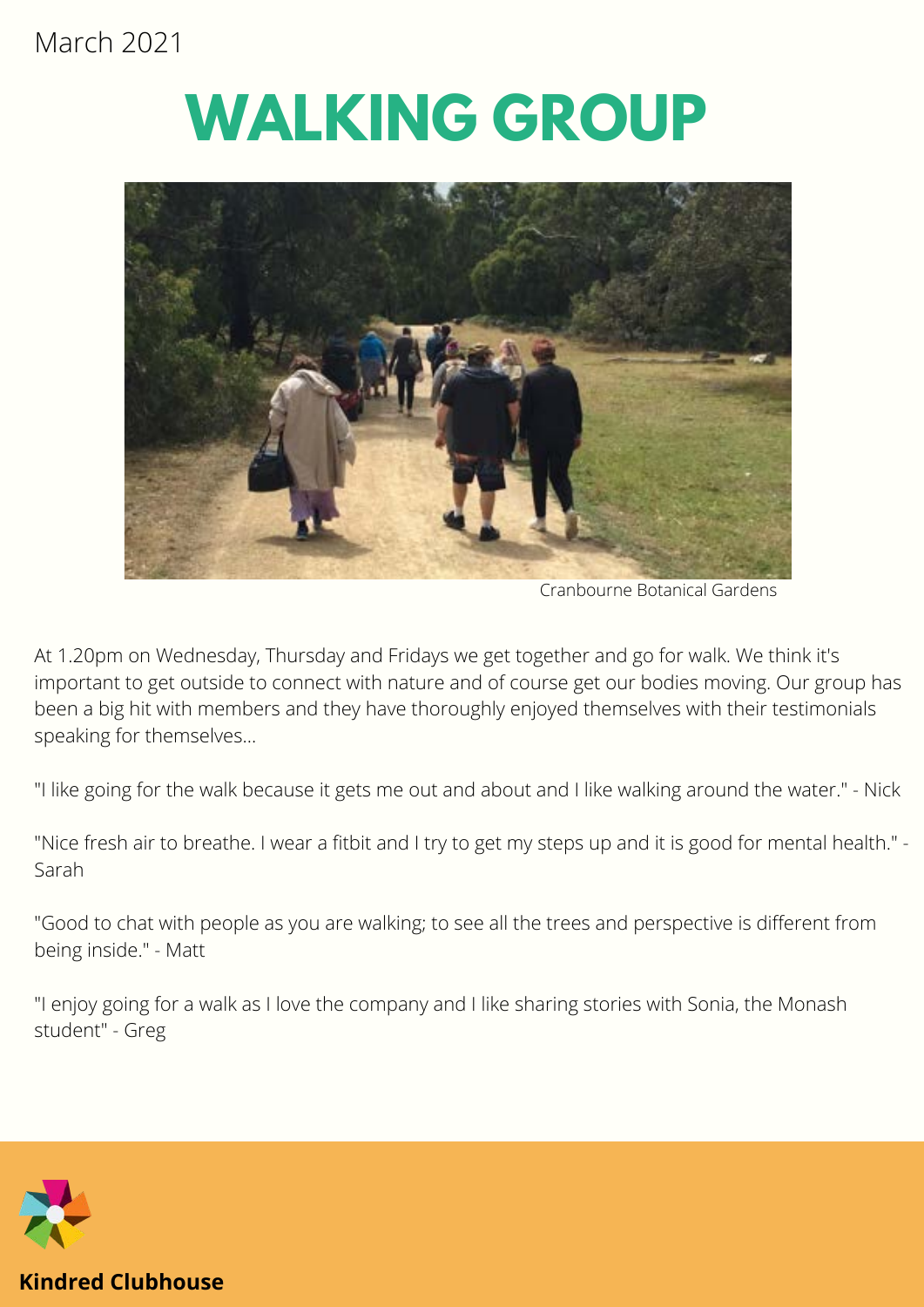# **WALKING GROUP**



Cranbourne Botanical Gardens

At 1.20pm on Wednesday, Thursday and Fridays we get together and go for walk. We think it's important to get outside to connect with nature and of course get our bodies moving. Our group has been a big hit with members and they have thoroughly enjoyed themselves with their testimonials speaking for themselves...

"I like going for the walk because it gets me out and about and I like walking around the water." - Nick

"Nice fresh air to breathe. I wear a fitbit and I try to get my steps up and it is good for mental health." - Sarah

"Good to chat with people as you are walking; to see all the trees and perspective is different from being inside." - Matt

"I enjoy going for a walk as I love the company and I like sharing stories with Sonia, the Monash student" - Greg

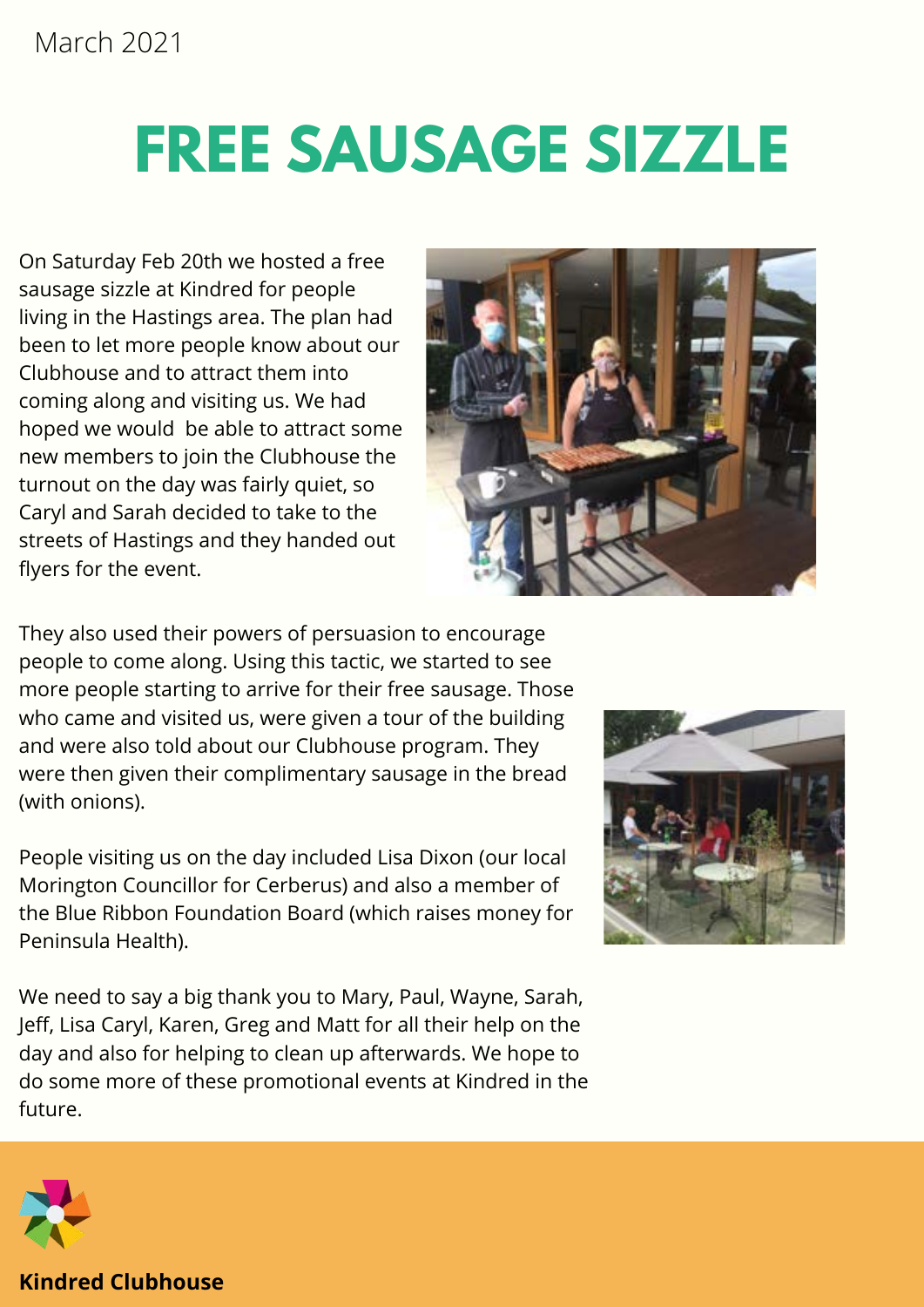# **FREE SAUSAGE SIZZLE**

On Saturday Feb 20th we hosted a free sausage sizzle at Kindred for people living in the Hastings area. The plan had been to let more people know about our Clubhouse and to attract them into coming along and visiting us. We had hoped we would be able to attract some new members to join the Clubhouse the turnout on the day was fairly quiet, so Caryl and Sarah decided to take to the streets of Hastings and they handed out flyers for the event.



They also used their powers of persuasion to encourage people to come along. Using this tactic, we started to see more people starting to arrive for their free sausage. Those who came and visited us, were given a tour of the building and were also told about our Clubhouse program. They were then given their complimentary sausage in the bread (with onions).

People visiting us on the day included Lisa Dixon (our local Morington Councillor for Cerberus) and also a member of the Blue Ribbon Foundation Board (which raises money for Peninsula Health).

We need to say a big thank you to Mary, Paul, Wayne, Sarah, Jeff, Lisa Caryl, Karen, Greg and Matt for all their help on the day and also for helping to clean up afterwards. We hope to do some more of these promotional events at Kindred in the future.



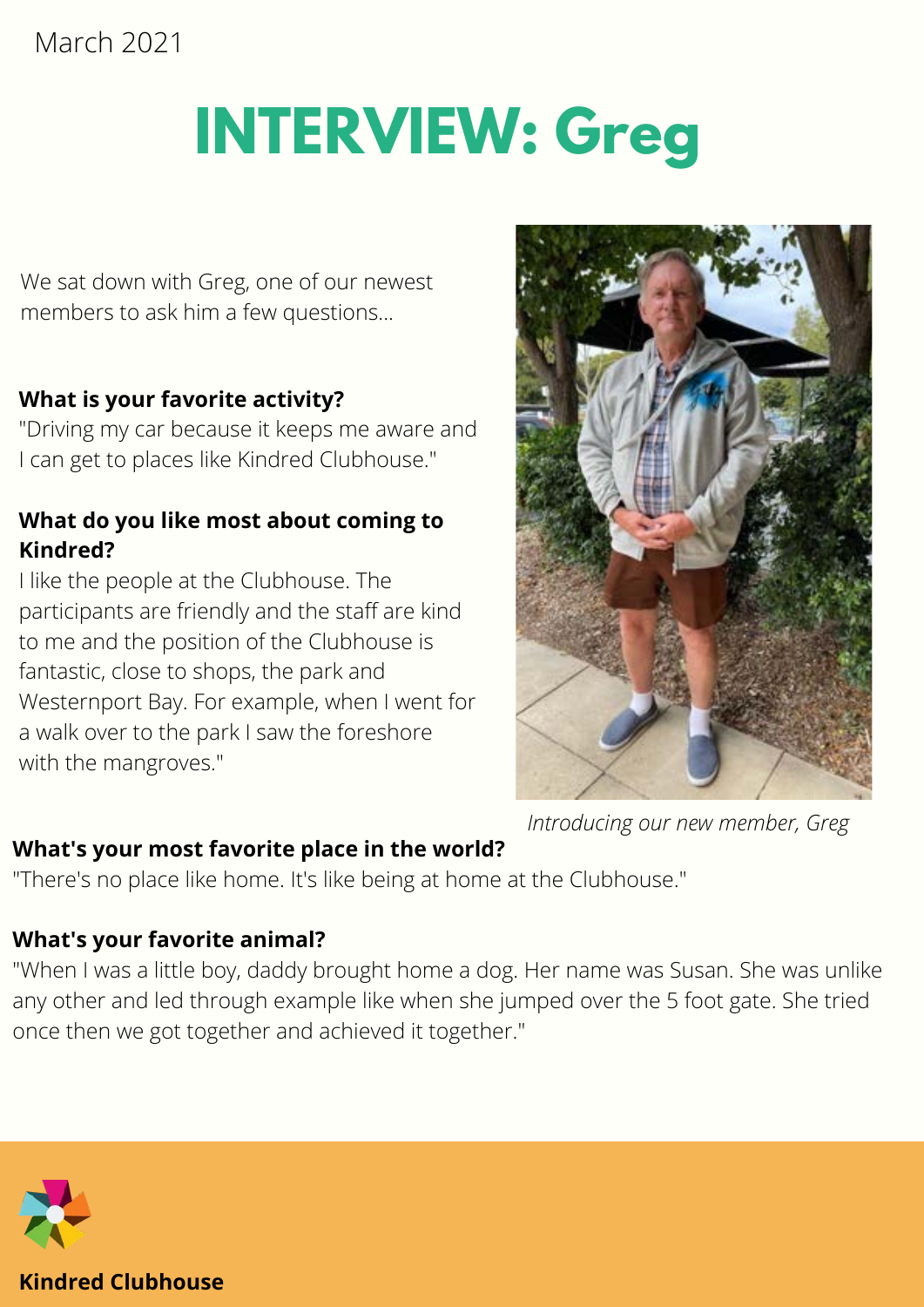# **INTERVIEW: Greg**

We sat down with Greg, one of our newest members to ask him a few questions...

#### **What is your favorite activity?**

"Driving my car because it keeps me aware and I can get to places like Kindred Clubhouse."

#### **What do you like most about coming to Kindred?**

I like the people at the Clubhouse. The participants are friendly and the staff are kind to me and the position of the Clubhouse is fantastic, close to shops, the park and Westernport Bay. For example, when I went for a walk over to the park I saw the foreshore with the mangroves."



*Introducing our new member, Greg*

#### **What's your most favorite place in the world?**

"There's no place like home. It's like being at home at the Clubhouse."

#### **What's your favorite animal?**

 any other and led through example like when she jumped over the 5 foot gate. She tried once then we got together and achieved it together." "When I was a little boy, daddy brought home a dog. Her name was Susan. She was unlike

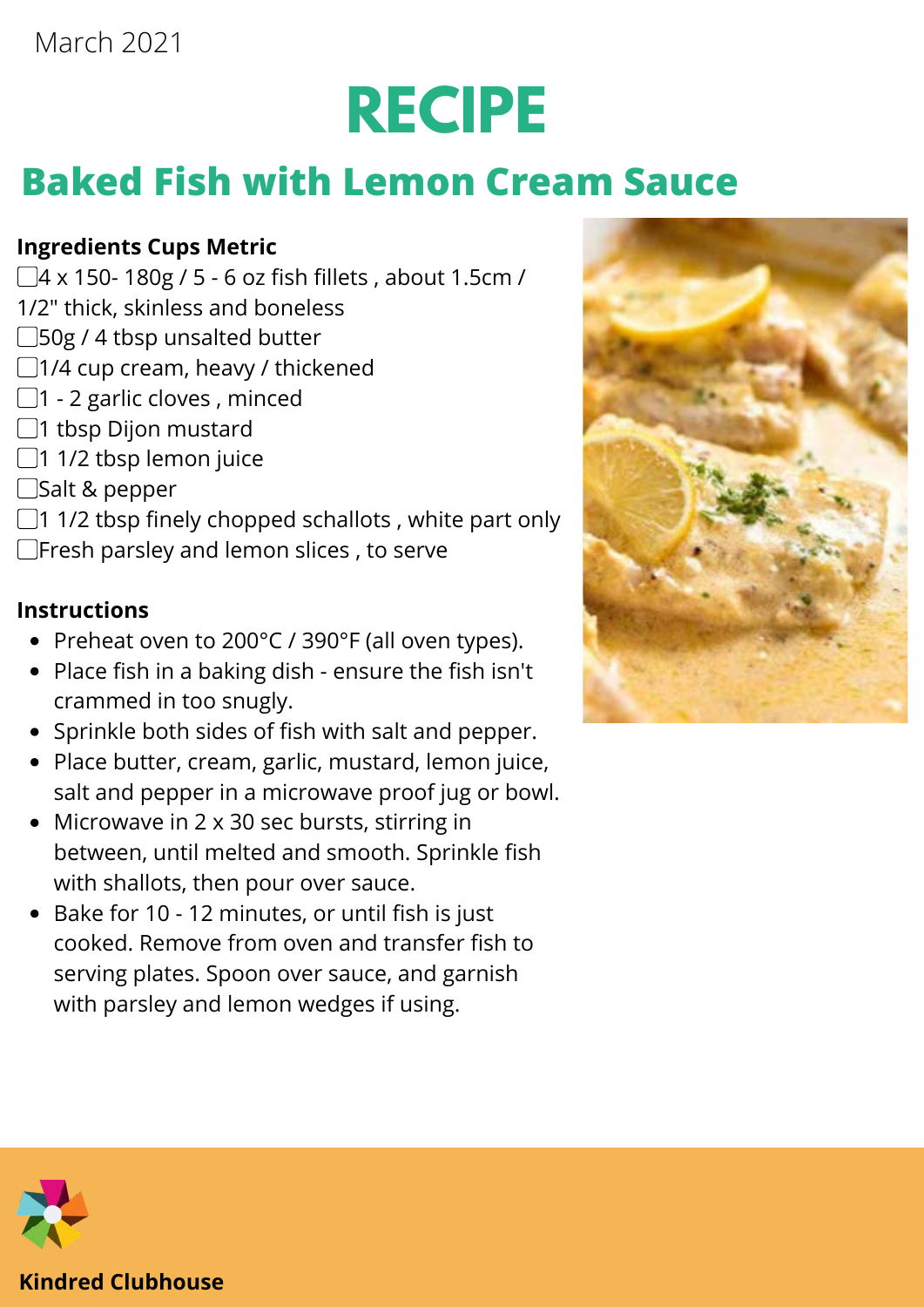# **RECIPE**

# **Baked Fish with Lemon Cream Sauce**

#### **Ingredients Cups Metric**

- ▢4 x 150- 180g / 5 6 oz fish fillets , about 1.5cm /
- 1/2" thick, skinless and boneless
- ▢50g / 4 tbsp unsalted butter
- ▢1/4 cup cream, heavy / thickened
- $\Box$ 1 2 garlic cloves, minced
- ▢1 tbsp Dijon mustard
- $\Box$ 1 1/2 tbsp lemon juice
- ▢Salt & pepper
- $\Box$ 1 1/2 tbsp finely chopped schallots, white part only
- ▢Fresh parsley and lemon slices , to serve

#### **Instructions**

- Preheat oven to 200°C / 390°F (all oven types).
- Place fish in a baking dish ensure the fish isn't crammed in too snugly.
- Sprinkle both sides of fish with salt and pepper.
- Place butter, cream, garlic, mustard, lemon juice, salt and pepper in a microwave proof jug or bowl.
- Microwave in 2 x 30 sec bursts, stirring in between, until melted and smooth. Sprinkle fish with shallots, then pour over sauce.
- Bake for 10 12 minutes, or until fish is just cooked. Remove from oven and transfer fish to serving plates. Spoon over sauce, and garnish with parsley and lemon wedges if using.



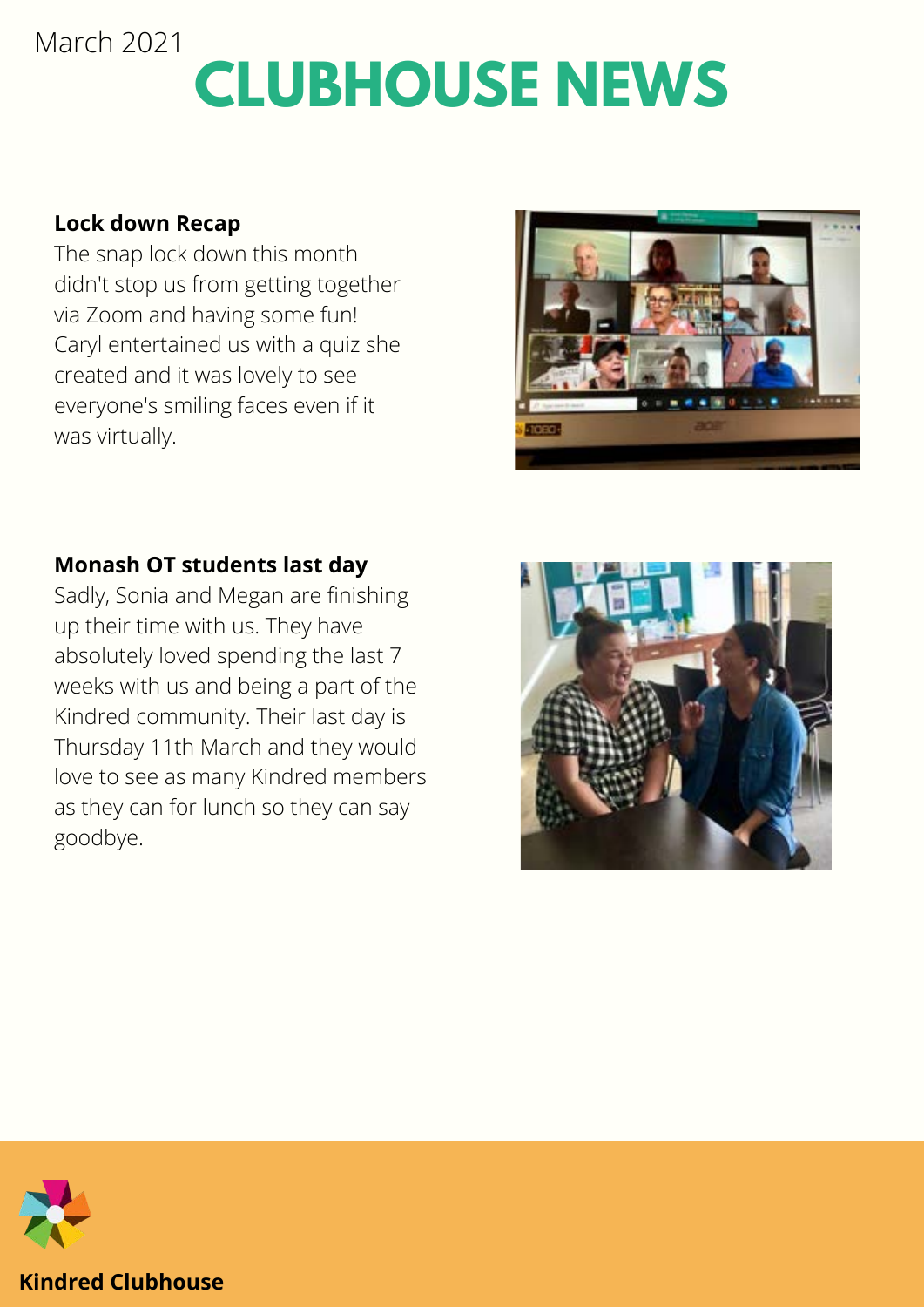# **CLUBHOUSE NEWS** March 2021

#### **Lock down Recap**

The snap lock down this month didn't stop us from getting together via Zoom and having some fun! Caryl entertained us with a quiz she created and it was lovely to see everyone's smiling faces even if it was virtually.



#### **Monash OT students last day**

Sadly, Sonia and Megan are finishing up their time with us. They have absolutely loved spending the last 7 weeks with us and being a part of the Kindred community. Their last day is Thursday 11th March and they would love to see as many Kindred members as they can for lunch so they can say goodbye.



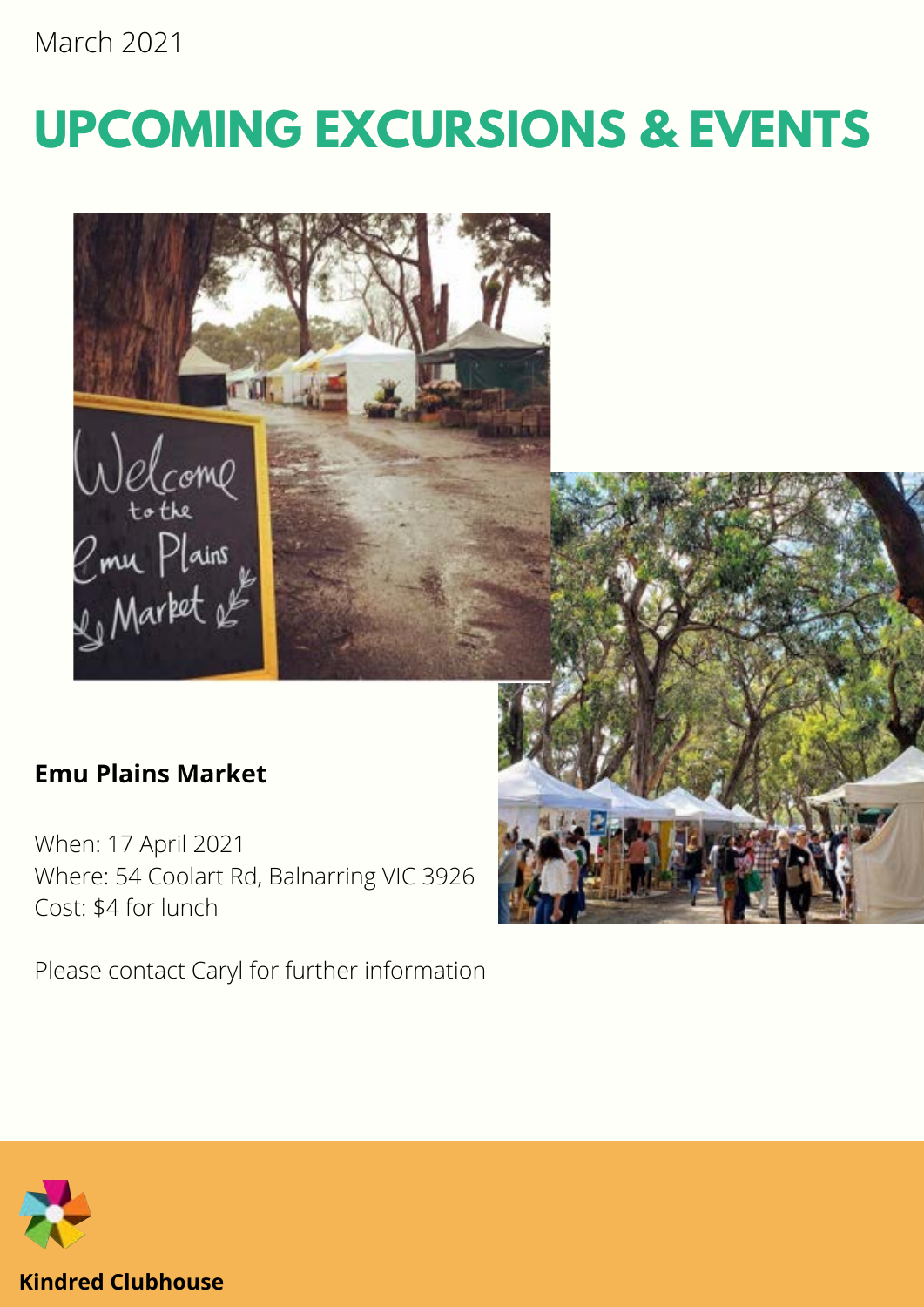# **UPCOMING EXCURSIONS & EVENTS**



### **Emu Plains Market**

When: 17 April 2021 Where: 54 Coolart Rd, Balnarring VIC 3926 Cost: \$4 for lunch

Please contact Caryl for further information

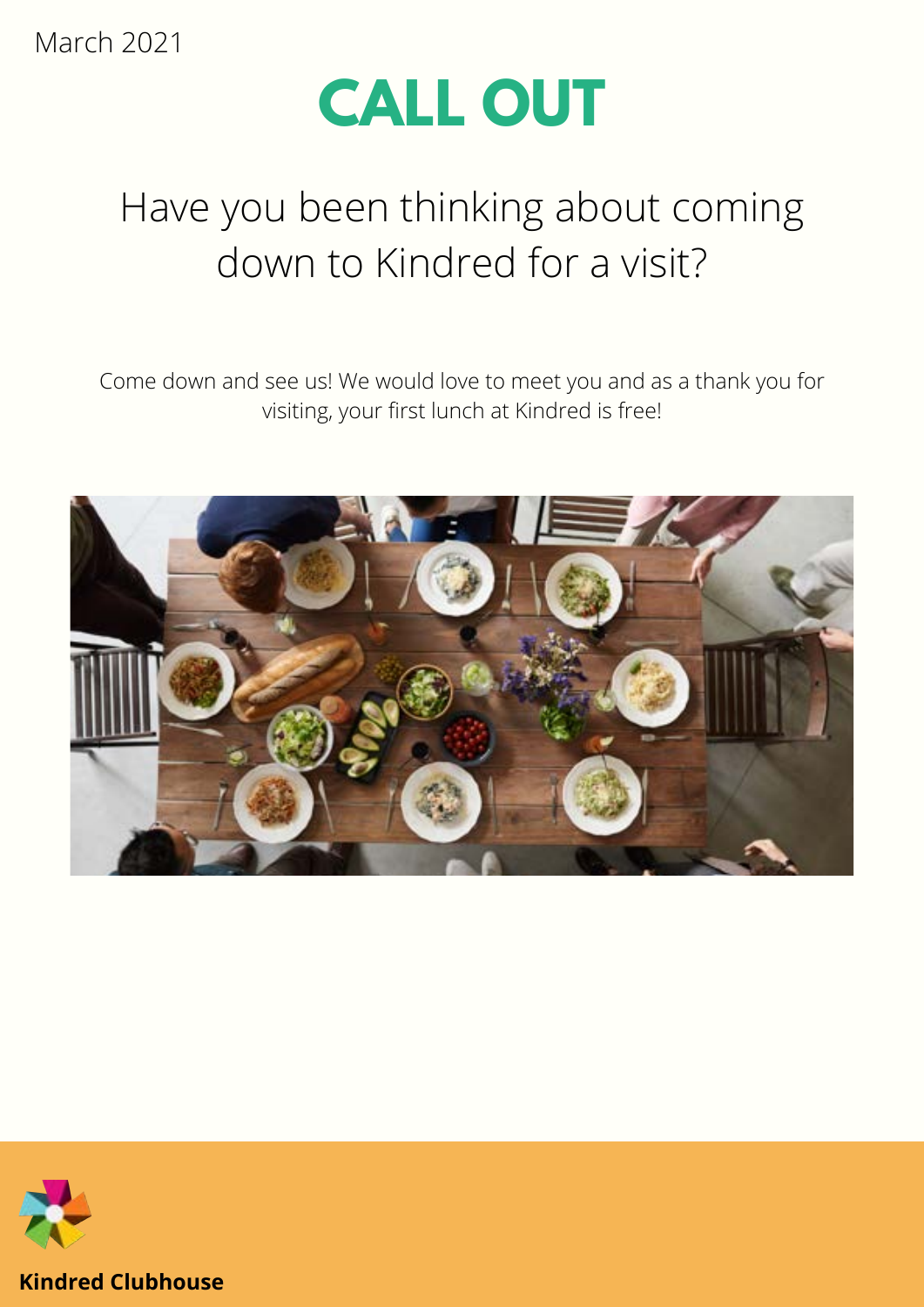

# Have you been thinking about coming down to Kindred for a visit?

Come down and see us! We would love to meet you and as a thank you for visiting, your first lunch at Kindred is free!



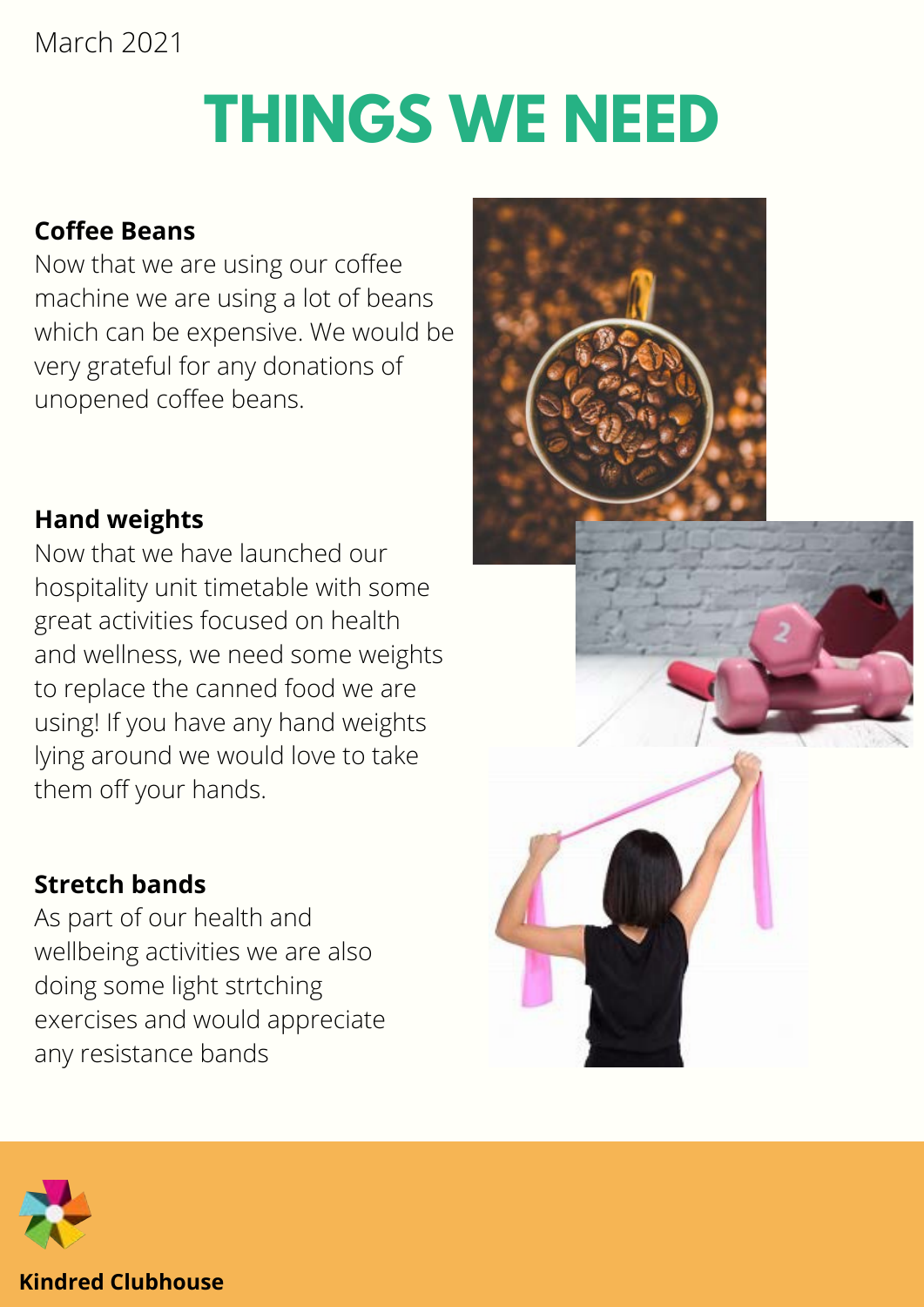# **THINGS WE NEED**

### **Coffee Beans**

Now that we are using our coffee machine we are using a lot of beans which can be expensive. We would be very grateful for any donations of unopened coffee beans.

### **Hand weights**

Now that we have launched our hospitality unit timetable with some great activities focused on health and wellness, we need some weights to replace the canned food we are using! If you have any hand weights lying around we would love to take them off your hands.

### **Stretch bands**

As part of our health and wellbeing activities we are also doing some light strtching exercises and would appreciate any resistance bands



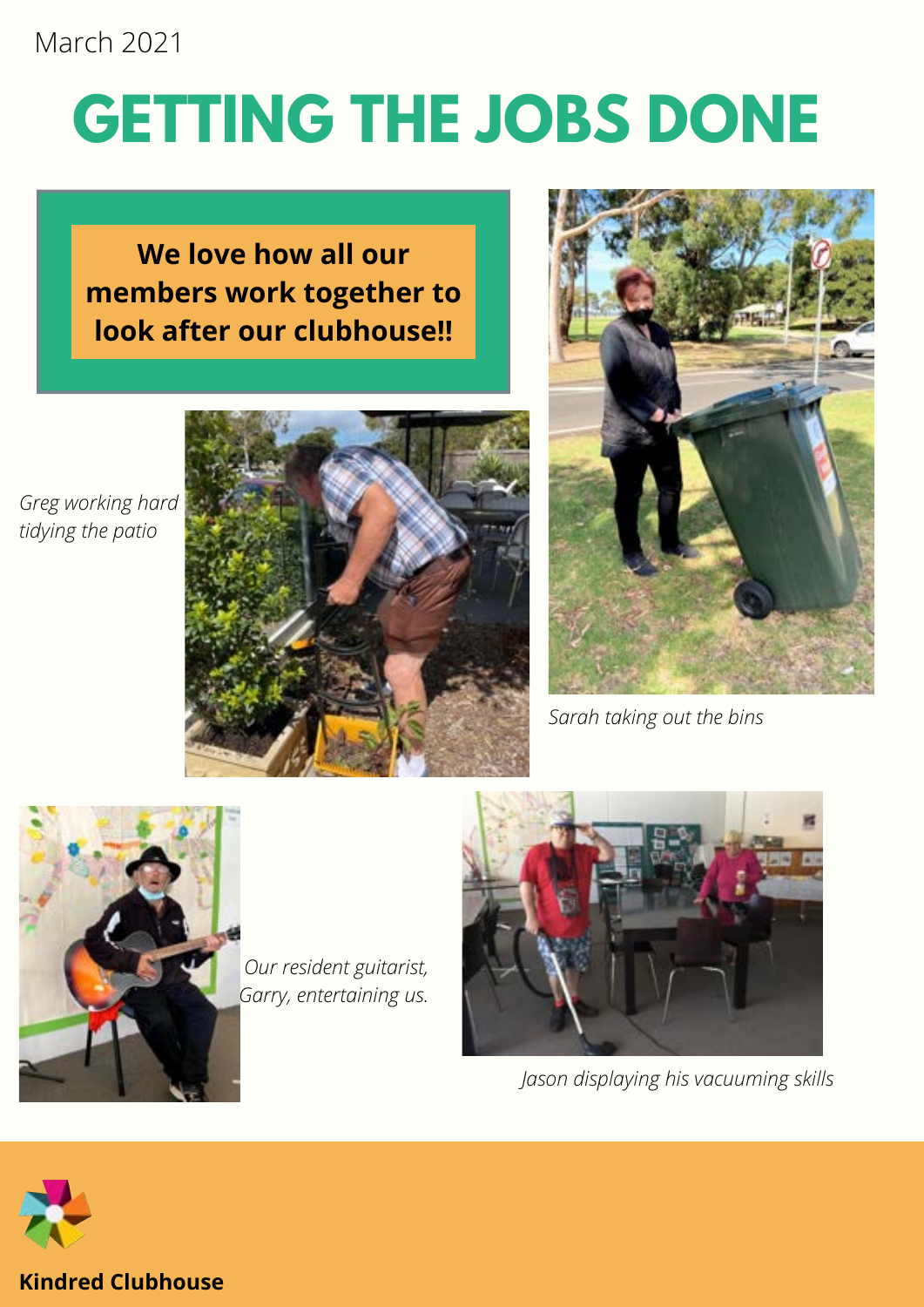# **GETTING THE JOBS DONE**

## **We love how all our members work together to look after our clubhouse!!**

*Greg working hard tidying the patio*





*Sarah taking out the bins*



*Our resident guitarist, Garry, entertaining us.*



*Jason displaying his vacuuming skills*

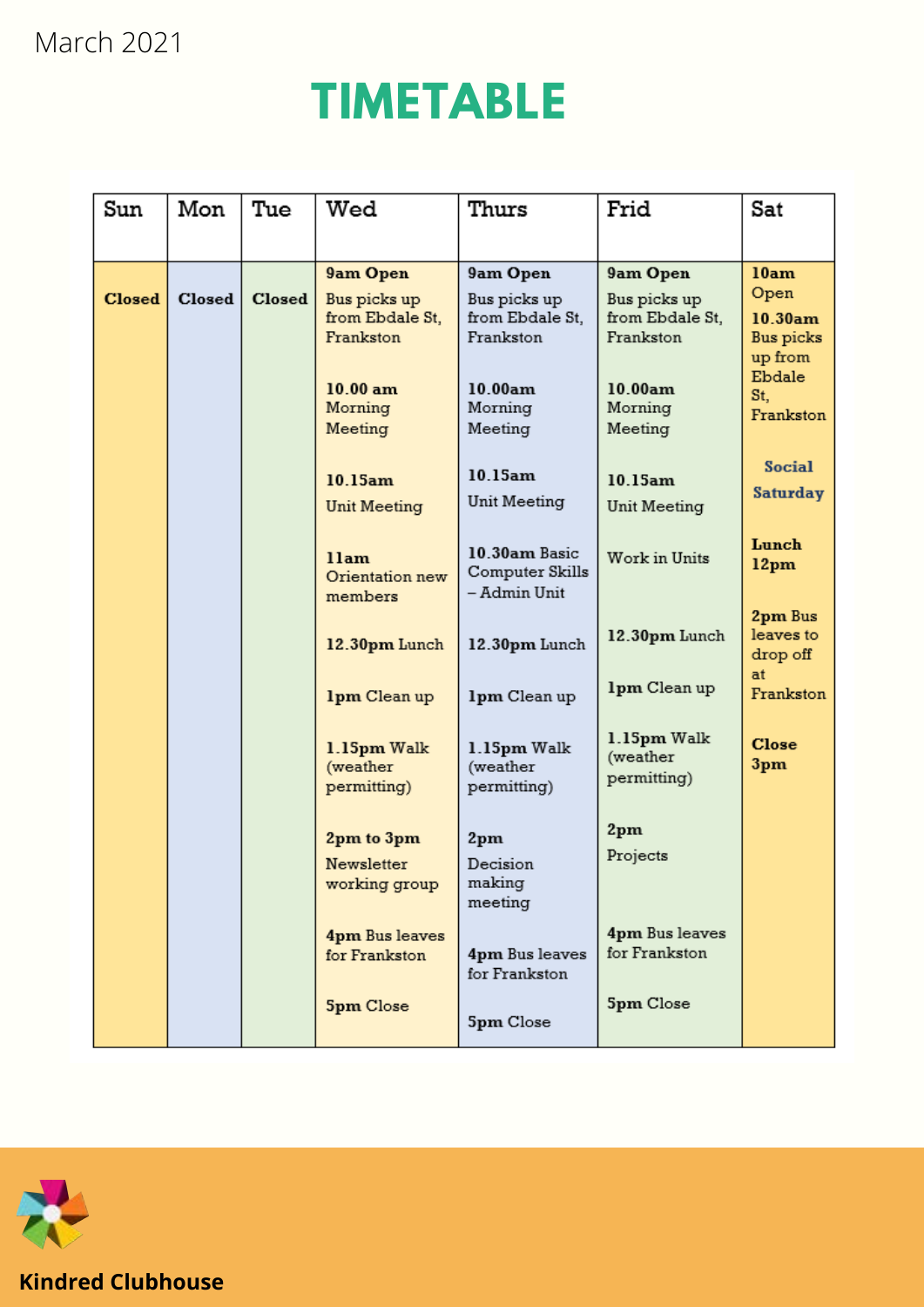# **TIMETABLE**

| Sun           | Mon    | Tue    | Wed                                       | Thurs                                            | Frid                                   | Sat                              |
|---------------|--------|--------|-------------------------------------------|--------------------------------------------------|----------------------------------------|----------------------------------|
|               |        |        |                                           |                                                  |                                        |                                  |
| <b>Closed</b> | Closed | Closed | 9am Open<br>Bus picks up                  | 9am Open<br>Bus picks up                         | 9am Open<br>Bus picks up               | 10am<br>Open                     |
|               |        |        | from Ebdale St,<br>Frankston              | from Ebdale St,<br>Frankston                     | from Ebdale St,<br>Frankston           | 10.30am<br>Bus picks<br>up from  |
|               |        |        | 10.00 am<br>Morning<br>Meeting            | 10.00am<br>Morning<br>Meeting                    | 10.00am<br>Morning<br>Meeting          | Ebdale<br>St,<br>Frankston       |
|               |        |        | 10.15am<br>Unit Meeting                   | 10.15am<br>Unit Meeting                          | 10.15am<br>Unit Meeting                | <b>Social</b><br><b>Saturday</b> |
|               |        |        | 11am<br>Orientation new                   | 10.30am Basic<br>Computer Skills<br>- Admin Unit | Work in Units                          | Lunch<br>12pm                    |
|               |        |        | members<br>12.30pm Lunch                  | 12.30pm Lunch                                    | 12.30pm Lunch                          | 2pm Bus<br>leaves to<br>drop off |
|               |        |        | 1pm Clean up                              | 1pm Clean up                                     | 1pm Clean up                           | at<br>Frankston                  |
|               |        |        | 1.15pm Walk<br>(weather<br>permitting)    | 1.15pm Walk<br>(weather<br>permitting)           | 1.15pm Walk<br>(weather<br>permitting) | <b>Close</b><br>3pm              |
|               |        |        | 2pm to 3pm<br>Newsletter<br>working group | 2pm<br>Decision<br>making<br>meeting             | 2pm<br>Projects                        |                                  |
|               |        |        | 4pm Bus leaves<br>for Frankston           | 4pm Bus leaves<br>for Frankston                  | 4pm Bus leaves<br>for Frankston        |                                  |
|               |        |        | <b>Spm Close</b>                          | 5pm Close                                        | 5pm Close                              |                                  |

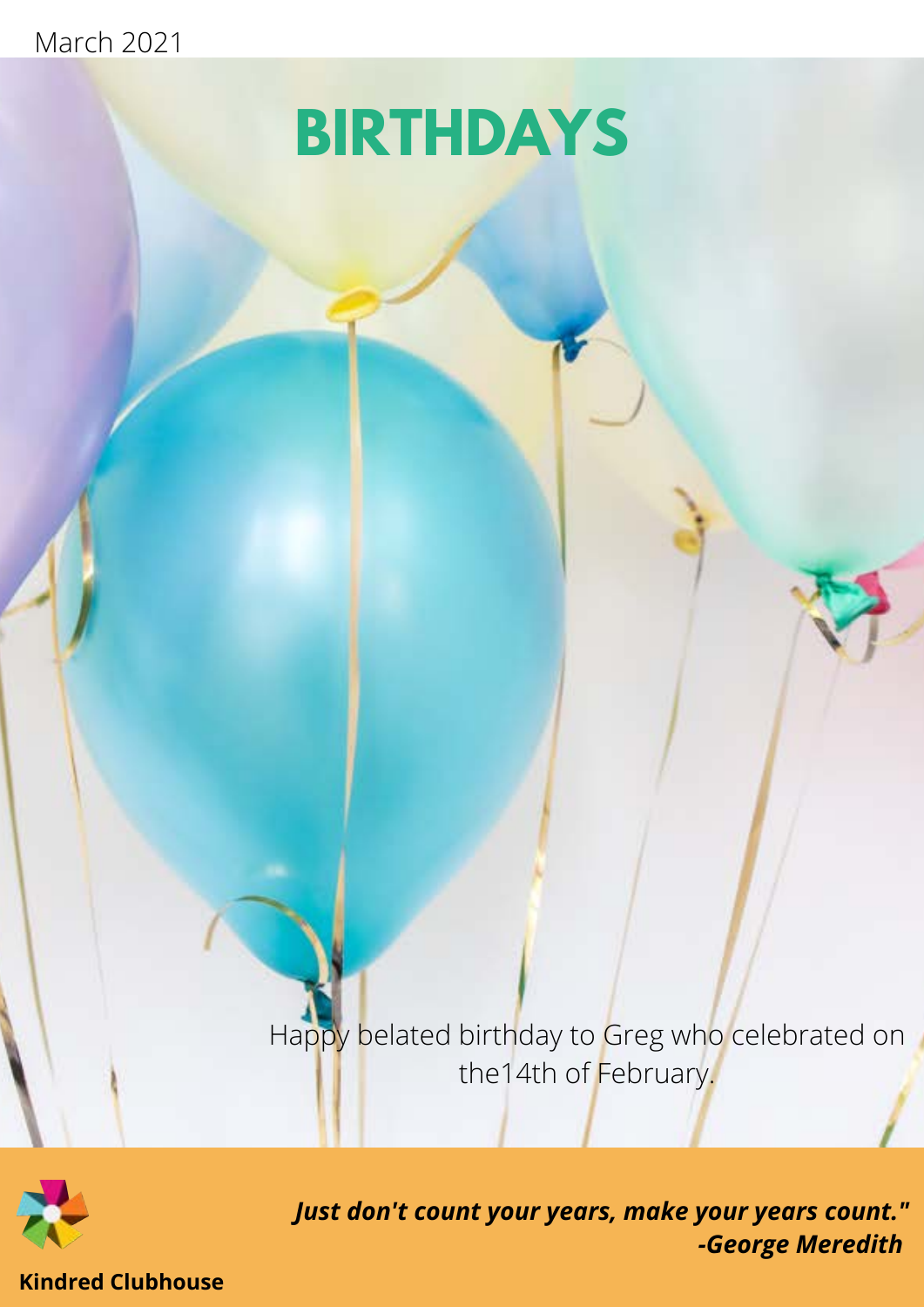# **BIRTHDAYS**

Happy belated birthday to Greg who celebrated on the14th of February.



*Just don't count your years, make your years count." -George Meredith*